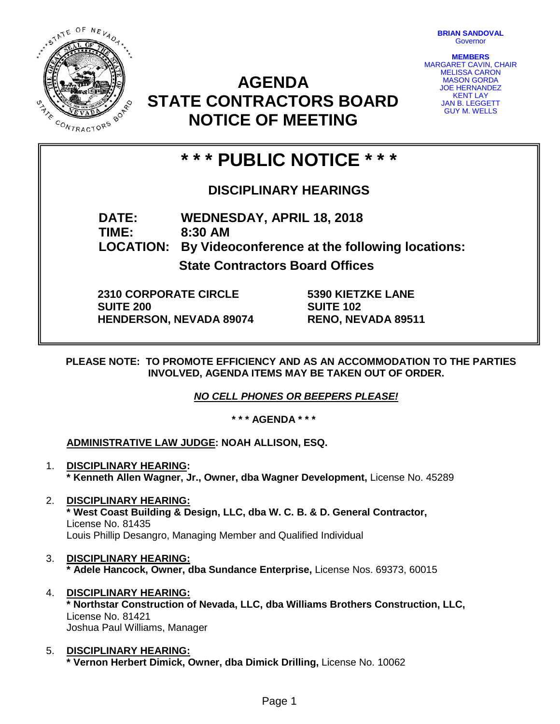STATE OF NEVADA **0216 MAR** CONTRACTORS

**BRIAN SANDOVAL Governor** 

**MEMBERS** MARGARET CAVIN, CHAIR MELISSA CARON MASON GORDA JOE HERNANDEZ KENT LAY JAN B. LEGGETT GUY M. WELLS

# **AGENDA STATE CONTRACTORS BOARD NOTICE OF MEETING**

# **\* \* \* PUBLIC NOTICE \* \* \***

### **DISCIPLINARY HEARINGS**

**DATE: WEDNESDAY, APRIL 18, 2018 TIME: 8:30 AM LOCATION: By Videoconference at the following locations: State Contractors Board Offices**

**2310 CORPORATE CIRCLE SUITE 200 HENDERSON, NEVADA 89074** **5390 KIETZKE LANE SUITE 102 RENO, NEVADA 89511**

**PLEASE NOTE: TO PROMOTE EFFICIENCY AND AS AN ACCOMMODATION TO THE PARTIES INVOLVED, AGENDA ITEMS MAY BE TAKEN OUT OF ORDER.**

*NO CELL PHONES OR BEEPERS PLEASE!* 

**\* \* \* AGENDA \* \* \***

### **ADMINISTRATIVE LAW JUDGE: NOAH ALLISON, ESQ.**

- 1. **DISCIPLINARY HEARING: \* Kenneth Allen Wagner, Jr., Owner, dba Wagner Development,** License No. 45289
- 2. **DISCIPLINARY HEARING: \* West Coast Building & Design, LLC, dba W. C. B. & D. General Contractor,**  License No. 81435 Louis Phillip Desangro, Managing Member and Qualified Individual
- 3. **DISCIPLINARY HEARING: \* Adele Hancock, Owner, dba Sundance Enterprise,** License Nos. 69373, 60015
- 4. **DISCIPLINARY HEARING: \* Northstar Construction of Nevada, LLC, dba Williams Brothers Construction, LLC,** License No. 81421 Joshua Paul Williams, Manager
- 5. **DISCIPLINARY HEARING: \* Vernon Herbert Dimick, Owner, dba Dimick Drilling,** License No. 10062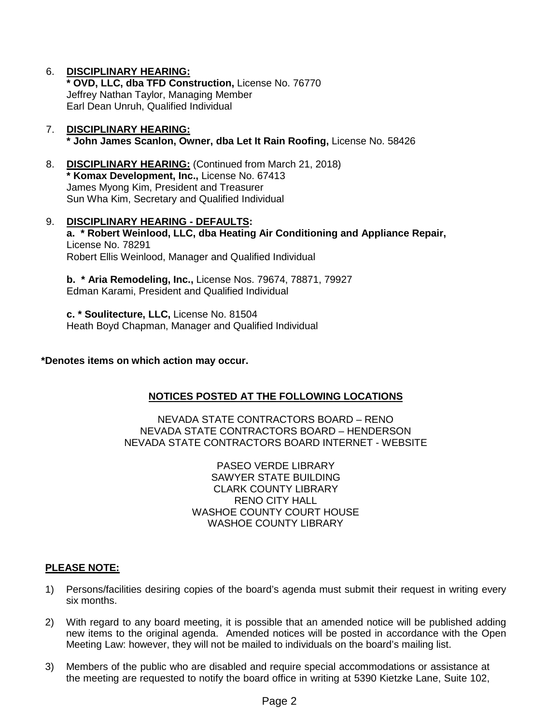#### 6. **DISCIPLINARY HEARING:**

**\* OVD, LLC, dba TFD Construction,** License No. 76770 Jeffrey Nathan Taylor, Managing Member Earl Dean Unruh, Qualified Individual

#### 7. **DISCIPLINARY HEARING: \* John James Scanlon, Owner, dba Let It Rain Roofing,** License No. 58426

- 8. **DISCIPLINARY HEARING:** (Continued from March 21, 2018) **\* Komax Development, Inc.,** License No. 67413 James Myong Kim, President and Treasurer Sun Wha Kim, Secretary and Qualified Individual
- 9. **DISCIPLINARY HEARING - DEFAULTS: a. \* Robert Weinlood, LLC, dba Heating Air Conditioning and Appliance Repair,** License No. 78291 Robert Ellis Weinlood, Manager and Qualified Individual

**b. \* Aria Remodeling, Inc.,** License Nos. 79674, 78871, 79927 Edman Karami, President and Qualified Individual

**c. \* Soulitecture, LLC,** License No. 81504 Heath Boyd Chapman, Manager and Qualified Individual

#### **\*Denotes items on which action may occur.**

#### **NOTICES POSTED AT THE FOLLOWING LOCATIONS**

NEVADA STATE CONTRACTORS BOARD – RENO NEVADA STATE CONTRACTORS BOARD – HENDERSON NEVADA STATE CONTRACTORS BOARD INTERNET - WEBSITE

> PASEO VERDE LIBRARY SAWYER STATE BUILDING CLARK COUNTY LIBRARY RENO CITY HALL WASHOE COUNTY COURT HOUSE WASHOE COUNTY LIBRARY

#### **PLEASE NOTE:**

- 1) Persons/facilities desiring copies of the board's agenda must submit their request in writing every six months.
- 2) With regard to any board meeting, it is possible that an amended notice will be published adding new items to the original agenda. Amended notices will be posted in accordance with the Open Meeting Law: however, they will not be mailed to individuals on the board's mailing list.
- 3) Members of the public who are disabled and require special accommodations or assistance at the meeting are requested to notify the board office in writing at 5390 Kietzke Lane, Suite 102,